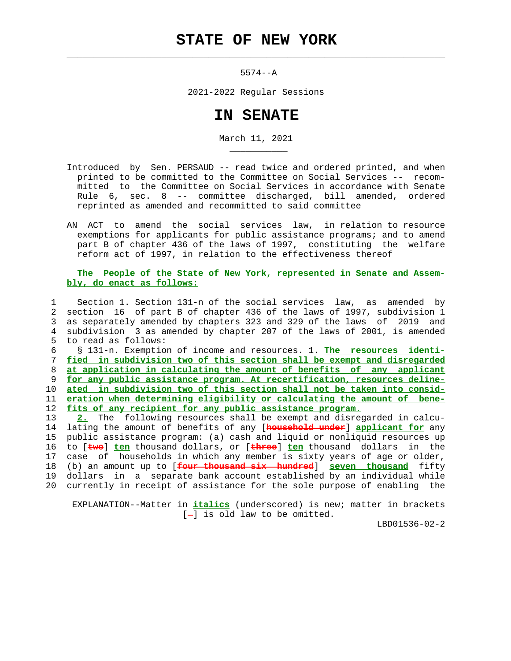## **STATE OF NEW YORK**

 $\mathcal{L}_\text{max} = \frac{1}{2} \sum_{i=1}^{n} \frac{1}{2} \sum_{i=1}^{n} \frac{1}{2} \sum_{i=1}^{n} \frac{1}{2} \sum_{i=1}^{n} \frac{1}{2} \sum_{i=1}^{n} \frac{1}{2} \sum_{i=1}^{n} \frac{1}{2} \sum_{i=1}^{n} \frac{1}{2} \sum_{i=1}^{n} \frac{1}{2} \sum_{i=1}^{n} \frac{1}{2} \sum_{i=1}^{n} \frac{1}{2} \sum_{i=1}^{n} \frac{1}{2} \sum_{i=1}^{n} \frac{1$ 

\_\_\_\_\_\_\_\_\_\_\_

5574--A

2021-2022 Regular Sessions

## **IN SENATE**

March 11, 2021

- Introduced by Sen. PERSAUD -- read twice and ordered printed, and when printed to be committed to the Committee on Social Services -- recom mitted to the Committee on Social Services in accordance with Senate Rule 6, sec. 8 -- committee discharged, bill amended, ordered reprinted as amended and recommitted to said committee
- AN ACT to amend the social services law, in relation to resource exemptions for applicants for public assistance programs; and to amend part B of chapter 436 of the laws of 1997, constituting the welfare reform act of 1997, in relation to the effectiveness thereof

## **The People of the State of New York, represented in Senate and Assem bly, do enact as follows:**

 1 Section 1. Section 131-n of the social services law, as amended by 2 section 16 of part B of chapter 436 of the laws of 1997, subdivision 1 3 as separately amended by chapters 323 and 329 of the laws of 2019 and 4 subdivision 3 as amended by chapter 207 of the laws of 2001, is amended 5 to read as follows:

 6 § 131-n. Exemption of income and resources. 1. **The resources identi- fied in subdivision two of this section shall be exempt and disregarded at application in calculating the amount of benefits of any applicant for any public assistance program. At recertification, resources deline- ated in subdivision two of this section shall not be taken into consid- eration when determining eligibility or calculating the amount of bene- fits of any recipient for any public assistance program.**

 13 **2.** The following resources shall be exempt and disregarded in calcu- 14 lating the amount of benefits of any [**household under**] **applicant for** any 15 public assistance program: (a) cash and liquid or nonliquid resources up 16 to [**two**] **ten** thousand dollars, or [**three**] **ten** thousand dollars in the 17 case of households in which any member is sixty years of age or older, 18 (b) an amount up to [**four thousand six hundred**] **seven thousand** fifty 19 dollars in a separate bank account established by an individual while 20 currently in receipt of assistance for the sole purpose of enabling the

 EXPLANATION--Matter in **italics** (underscored) is new; matter in brackets  $[-]$  is old law to be omitted.

LBD01536-02-2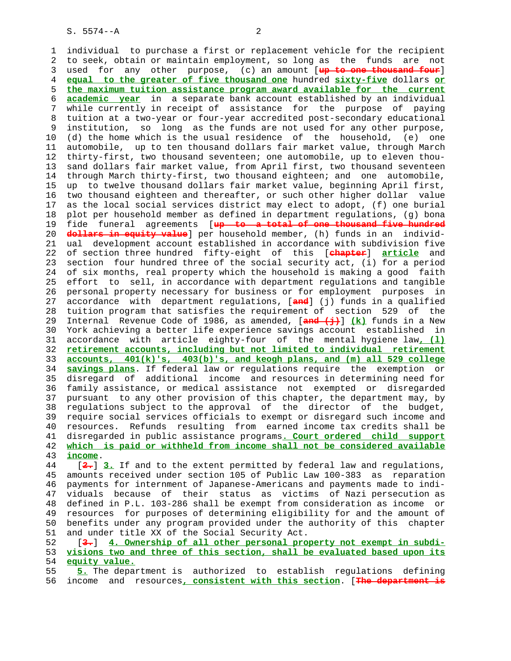1 individual to purchase a first or replacement vehicle for the recipient 2 to seek, obtain or maintain employment, so long as the funds are not 3 used for any other purpose, (c) an amount [**up to one thousand four**] 4 **equal to the greater of five thousand one** hundred **sixty-five** dollars **or** 5 **the maximum tuition assistance program award available for the current** 6 **academic year** in a separate bank account established by an individual 7 while currently in receipt of assistance for the purpose of paying 8 tuition at a two-year or four-year accredited post-secondary educational 9 institution, so long as the funds are not used for any other purpose, 10 (d) the home which is the usual residence of the household, (e) one 11 automobile, up to ten thousand dollars fair market value, through March 12 thirty-first, two thousand seventeen; one automobile, up to eleven thou- 13 sand dollars fair market value, from April first, two thousand seventeen 14 through March thirty-first, two thousand eighteen; and one automobile, 15 up to twelve thousand dollars fair market value, beginning April first, 16 two thousand eighteen and thereafter, or such other higher dollar value 17 as the local social services district may elect to adopt, (f) one burial 18 plot per household member as defined in department regulations, (g) bona 19 fide funeral agreements [**up to a total of one thousand five hundred** 20 **dollars in equity value**] per household member, (h) funds in an individ- 21 ual development account established in accordance with subdivision five 22 of section three hundred fifty-eight of this [**chapter**] **article** and 23 section four hundred three of the social security act, (i) for a period 24 of six months, real property which the household is making a good faith 25 effort to sell, in accordance with department regulations and tangible 26 personal property necessary for business or for employment purposes in 27 accordance with department regulations, [**and**] (j) funds in a qualified 28 tuition program that satisfies the requirement of section 529 of the 29 Internal Revenue Code of 1986, as amended, [**and (j)**] **(k)** funds in a New 30 York achieving a better life experience savings account established in 31 accordance with article eighty-four of the mental hygiene law**, (l)** 32 **retirement accounts, including but not limited to individual retirement** 33 **accounts, 401(k)'s, 403(b)'s, and keogh plans, and (m) all 529 college** 34 **savings plans**. If federal law or regulations require the exemption or 35 disregard of additional income and resources in determining need for 36 family assistance, or medical assistance not exempted or disregarded 37 pursuant to any other provision of this chapter, the department may, by 38 regulations subject to the approval of the director of the budget, 39 require social services officials to exempt or disregard such income and 40 resources. Refunds resulting from earned income tax credits shall be 41 disregarded in public assistance programs**. Court ordered child support** 42 **which is paid or withheld from income shall not be considered available** 43 **income**. 44 [**2.**] **3.** If and to the extent permitted by federal law and regulations, 45 amounts received under section 105 of Public Law 100-383 as reparation

 46 payments for internment of Japanese-Americans and payments made to indi- 47 viduals because of their status as victims of Nazi persecution as 48 defined in P.L. 103-286 shall be exempt from consideration as income or 49 resources for purposes of determining eligibility for and the amount of 50 benefits under any program provided under the authority of this chapter 51 and under title XX of the Social Security Act.

 52 [**3.**] **4. Ownership of all other personal property not exempt in subdi-** 53 **visions two and three of this section, shall be evaluated based upon its** 54 **equity value.**

 55 **5.** The department is authorized to establish regulations defining 56 income and resources**, consistent with this section**. [**The department is**